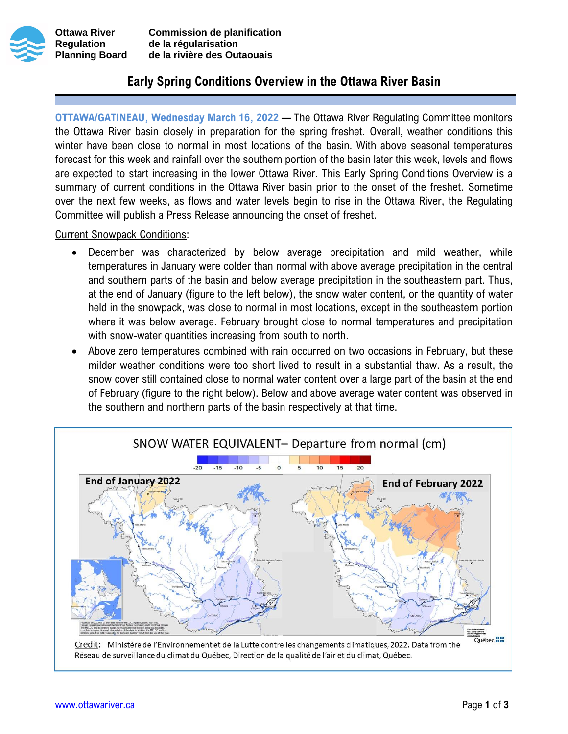



**Ottawa River Commission de planification Regulation de la régularisation Planning Board de la rivière des Outaouais**

## **Early Spring Conditions Overview in the Ottawa River Basin**

**OTTAWA/GATINEAU, Wednesday March 16, 2022 —** The Ottawa River Regulating Committee monitors the Ottawa River basin closely in preparation for the spring freshet. Overall, weather conditions this winter have been close to normal in most locations of the basin. With above seasonal temperatures forecast for this week and rainfall over the southern portion of the basin later this week, levels and flows are expected to start increasing in the lower Ottawa River. This Early Spring Conditions Overview is a summary of current conditions in the Ottawa River basin prior to the onset of the freshet. Sometime over the next few weeks, as flows and water levels begin to rise in the Ottawa River, the Regulating Committee will publish a Press Release announcing the onset of freshet.

Current Snowpack Conditions:

- December was characterized by below average precipitation and mild weather, while temperatures in January were colder than normal with above average precipitation in the central and southern parts of the basin and below average precipitation in the southeastern part. Thus, at the end of January (figure to the left below), the snow water content, or the quantity of water held in the snowpack, was close to normal in most locations, except in the southeastern portion where it was below average. February brought close to normal temperatures and precipitation with snow-water quantities increasing from south to north.
- Above zero temperatures combined with rain occurred on two occasions in February, but these milder weather conditions were too short lived to result in a substantial thaw. As a result, the snow cover still contained close to normal water content over a large part of the basin at the end of February (figure to the right below). Below and above average water content was observed in the southern and northern parts of the basin respectively at that time.

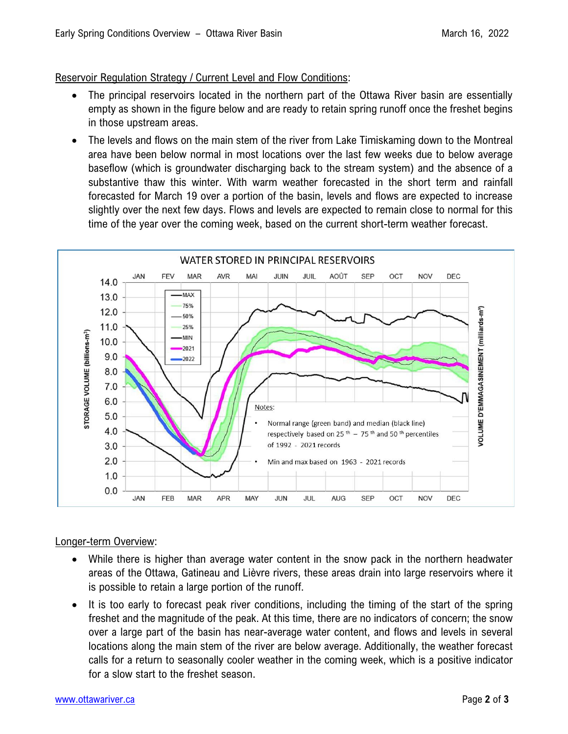## Reservoir Regulation Strategy / Current Level and Flow Conditions:

- The principal reservoirs located in the northern part of the Ottawa River basin are essentially empty as shown in the figure below and are ready to retain spring runoff once the freshet begins in those upstream areas.
- The levels and flows on the main stem of the river from Lake Timiskaming down to the Montreal area have been below normal in most locations over the last few weeks due to below average baseflow (which is groundwater discharging back to the stream system) and the absence of a substantive thaw this winter. With warm weather forecasted in the short term and rainfall forecasted for March 19 over a portion of the basin, levels and flows are expected to increase slightly over the next few days. Flows and levels are expected to remain close to normal for this time of the year over the coming week, based on the current short-term weather forecast.



## Longer-term Overview:

- While there is higher than average water content in the snow pack in the northern headwater areas of the Ottawa, Gatineau and Lièvre rivers, these areas drain into large reservoirs where it is possible to retain a large portion of the runoff.
- It is too early to forecast peak river conditions, including the timing of the start of the spring freshet and the magnitude of the peak. At this time, there are no indicators of concern; the snow over a large part of the basin has near-average water content, and flows and levels in several locations along the main stem of the river are below average. Additionally, the weather forecast calls for a return to seasonally cooler weather in the coming week, which is a positive indicator for a slow start to the freshet season.